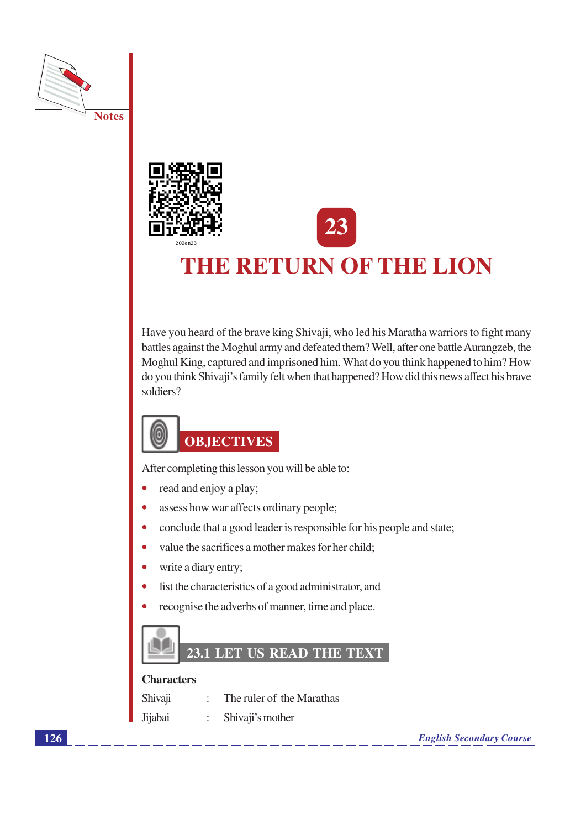



# THE RETURN OF THE LION

Have you heard of the brave king Shivaji, who led his Maratha warriors to fight many battles against the Moghul army and defeated them? Well, after one battle Aurangzeb, the Moghul King, captured and imprisoned him. What do you think happened to him? How do you think Shivaji's family felt when that happened? How did this news affect his brave soldiers?

# (d **OBJECTIVES**

After completing this lesson you will be able to:

- read and enjoy a play;  $\bullet$
- assess how war affects ordinary people;  $\bullet$
- $\bullet$ conclude that a good leader is responsible for his people and state;
- value the sacrifices a mother makes for her child;  $\bullet$
- write a diary entry;
- list the characteristics of a good administrator, and  $\bullet$
- recognise the adverbs of manner, time and place.



#### **Characters**

| Shivaji | The ruler of the Marathas |
|---------|---------------------------|
| Jijabai | : Shivaji's mother        |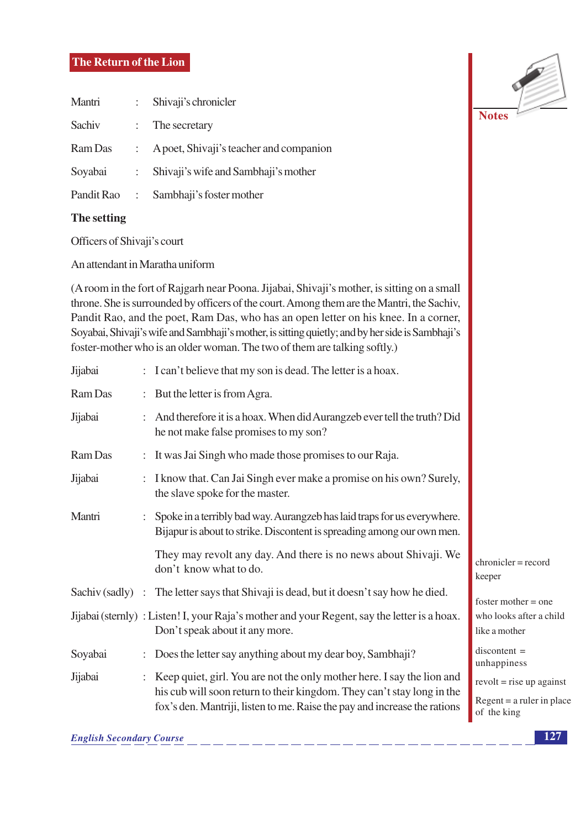## The Return of the Lion

| Mantri     | $\mathcal{L}$         | Shivaji's chronicler                    |  |  |
|------------|-----------------------|-----------------------------------------|--|--|
| Sachiv     |                       | $\therefore$ The secretary              |  |  |
| Ram Das    |                       | A poet, Shivaji's teacher and companion |  |  |
| Soyabai    | $\mathbb{Z}^{\times}$ | Shivaji's wife and Sambhaji's mother    |  |  |
| Pandit Rao | $\sim 10^{-11}$       | Sambhaji's foster mother                |  |  |

## The setting

Officers of Shivaji's court

An attendant in Maratha uniform

(A room in the fort of Rajgarh near Poona. Jijabai, Shivaji's mother, is sitting on a small throne. She is surrounded by officers of the court. Among them are the Mantri, the Sachiv, Pandit Rao, and the poet, Ram Das, who has an open letter on his knee. In a corner, Soyabai, Shivaji's wife and Sambhaji's mother, is sitting quietly; and by her side is Sambhaji's foster-mother who is an older woman. The two of them are talking softly.)

| But the letter is from Agra.<br>Ram Das                            |                                                                                                                                                                                                                               |                                                                                                                                                                                                                                                                                                                                                                                             |  |  |  |
|--------------------------------------------------------------------|-------------------------------------------------------------------------------------------------------------------------------------------------------------------------------------------------------------------------------|---------------------------------------------------------------------------------------------------------------------------------------------------------------------------------------------------------------------------------------------------------------------------------------------------------------------------------------------------------------------------------------------|--|--|--|
|                                                                    | And therefore it is a hoax. When did Aurangzeb ever tell the truth? Did<br>he not make false promises to my son?                                                                                                              |                                                                                                                                                                                                                                                                                                                                                                                             |  |  |  |
| Ram Das<br>: It was Jai Singh who made those promises to our Raja. |                                                                                                                                                                                                                               |                                                                                                                                                                                                                                                                                                                                                                                             |  |  |  |
|                                                                    | the slave spoke for the master.                                                                                                                                                                                               |                                                                                                                                                                                                                                                                                                                                                                                             |  |  |  |
|                                                                    | Spoke in a terribly bad way. Aurangzeb has laid traps for us everywhere.<br>Bijapur is about to strike. Discontent is spreading among our own men.                                                                            |                                                                                                                                                                                                                                                                                                                                                                                             |  |  |  |
|                                                                    | They may revolt any day. And there is no news about Shivaji. We<br>don't know what to do.                                                                                                                                     | $chronicler = record$<br>keeper                                                                                                                                                                                                                                                                                                                                                             |  |  |  |
|                                                                    |                                                                                                                                                                                                                               | foster mother $=$ one                                                                                                                                                                                                                                                                                                                                                                       |  |  |  |
|                                                                    | Don't speak about it any more.                                                                                                                                                                                                | who looks after a child<br>like a mother                                                                                                                                                                                                                                                                                                                                                    |  |  |  |
|                                                                    |                                                                                                                                                                                                                               | $discontent =$<br>unhappiness                                                                                                                                                                                                                                                                                                                                                               |  |  |  |
|                                                                    | Keep quiet, girl. You are not the only mother here. I say the lion and<br>his cub will soon return to their kingdom. They can't stay long in the<br>fox's den. Mantriji, listen to me. Raise the pay and increase the rations | $revolt = rise up against$<br>$Regent = a ruler in place$<br>of the king                                                                                                                                                                                                                                                                                                                    |  |  |  |
|                                                                    |                                                                                                                                                                                                                               | : I can't believe that my son is dead. The letter is a hoax.<br>: I know that. Can Jai Singh ever make a promise on his own? Surely,<br>Sachiv (sadly) : The letter says that Shivaji is dead, but it doesn't say how he died.<br>Jijabai (sternly) : Listen! I, your Raja's mother and your Regent, say the letter is a hoax.<br>Does the letter say anything about my dear boy, Sambhaji? |  |  |  |

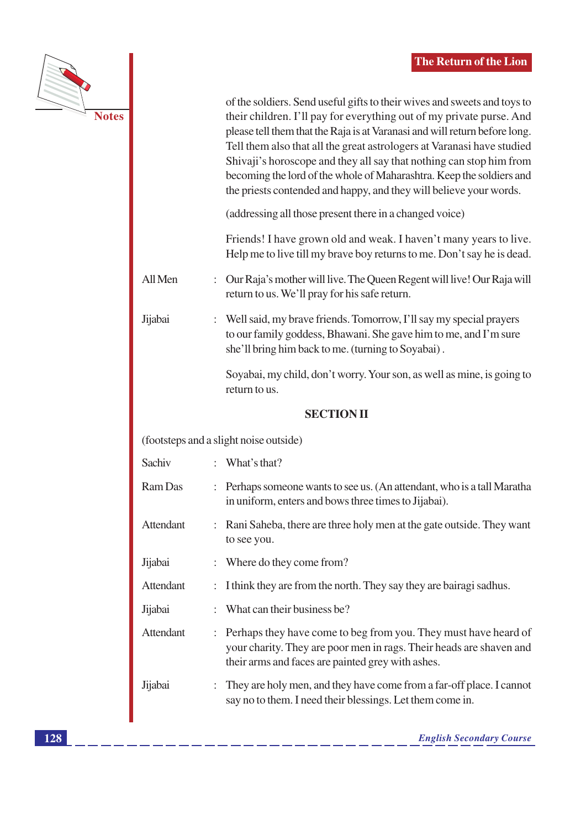|           |    | of the soldiers. Send useful gifts to their wives and sweets and toys to<br>their children. I'll pay for everything out of my private purse. And<br>please tell them that the Raja is at Varanasi and will return before long.<br>Tell them also that all the great astrologers at Varanasi have studied<br>Shivaji's horoscope and they all say that nothing can stop him from<br>becoming the lord of the whole of Maharashtra. Keep the soldiers and<br>the priests contended and happy, and they will believe your words. |
|-----------|----|-------------------------------------------------------------------------------------------------------------------------------------------------------------------------------------------------------------------------------------------------------------------------------------------------------------------------------------------------------------------------------------------------------------------------------------------------------------------------------------------------------------------------------|
|           |    | (addressing all those present there in a changed voice)                                                                                                                                                                                                                                                                                                                                                                                                                                                                       |
|           |    | Friends! I have grown old and weak. I haven't many years to live.<br>Help me to live till my brave boy returns to me. Don't say he is dead.                                                                                                                                                                                                                                                                                                                                                                                   |
| All Men   | ÷. | Our Raja's mother will live. The Queen Regent will live! Our Raja will<br>return to us. We'll pray for his safe return.                                                                                                                                                                                                                                                                                                                                                                                                       |
| Jijabai   |    | : Well said, my brave friends. Tomorrow, I'll say my special prayers<br>to our family goddess, Bhawani. She gave him to me, and I'm sure<br>she'll bring him back to me. (turning to Soyabai).                                                                                                                                                                                                                                                                                                                                |
|           |    | Soyabai, my child, don't worry. Your son, as well as mine, is going to<br>return to us.                                                                                                                                                                                                                                                                                                                                                                                                                                       |
|           |    |                                                                                                                                                                                                                                                                                                                                                                                                                                                                                                                               |
|           |    | <b>SECTION II</b>                                                                                                                                                                                                                                                                                                                                                                                                                                                                                                             |
|           |    | (footsteps and a slight noise outside)                                                                                                                                                                                                                                                                                                                                                                                                                                                                                        |
| Sachiv    |    | : What's that?                                                                                                                                                                                                                                                                                                                                                                                                                                                                                                                |
| Ram Das   |    | : Perhaps someone wants to see us. (An attendant, who is a tall Maratha<br>in uniform, enters and bows three times to Jijabai).                                                                                                                                                                                                                                                                                                                                                                                               |
| Attendant |    | : Rani Saheba, there are three holy men at the gate outside. They want<br>to see you.                                                                                                                                                                                                                                                                                                                                                                                                                                         |
| Jijabai   |    | Where do they come from?                                                                                                                                                                                                                                                                                                                                                                                                                                                                                                      |
| Attendant |    | I think they are from the north. They say they are bairagi sadhus.                                                                                                                                                                                                                                                                                                                                                                                                                                                            |
| Jijabai   |    | What can their business be?                                                                                                                                                                                                                                                                                                                                                                                                                                                                                                   |
| Attendant |    | Perhaps they have come to beg from you. They must have heard of<br>your charity. They are poor men in rags. Their heads are shaven and<br>their arms and faces are painted grey with ashes.                                                                                                                                                                                                                                                                                                                                   |

**Notes**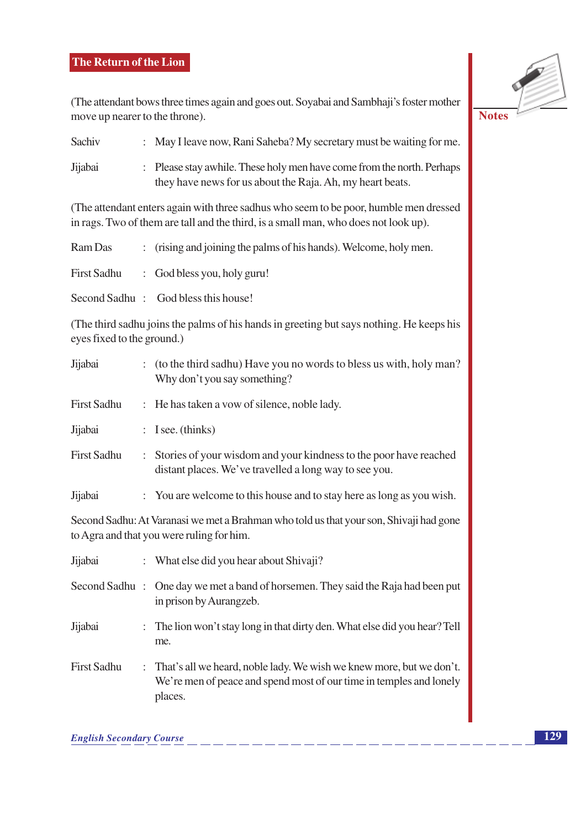# The Return of the Lion

(The attendant bows three times again and goes out. Soyabai and Sambhaji's foster mother move up nearer to the throne).



| Sachiv  | : May I leave now, Rani Saheba? My secretary must be waiting for me.                                                                |
|---------|-------------------------------------------------------------------------------------------------------------------------------------|
| Jijabai | : Please stay awhile. These holy men have come from the north. Perhaps<br>they have news for us about the Raja. Ah, my heart beats. |

(The attendant enters again with three sadhus who seem to be poor, humble men dressed in rags. Two of them are tall and the third, is a small man, who does not look up).

| Ram Das     | : (rising and joining the palms of his hands). Welcome, holy men. |
|-------------|-------------------------------------------------------------------|
| First Sadhu | $\therefore$ God bless you, holy guru!                            |
|             | Second Sadhu: God bless this house!                               |

(The third sadhu joins the palms of his hands in greeting but says nothing. He keeps his eyes fixed to the ground.)

| Jijabai            | : (to the third sadhu) Have you no words to bless us with, holy man?<br>Why don't you say something?                          |  |  |  |
|--------------------|-------------------------------------------------------------------------------------------------------------------------------|--|--|--|
| <b>First Sadhu</b> | : He has taken a vow of silence, noble lady.                                                                                  |  |  |  |
| Jijabai            | $:$ I see. (thinks)                                                                                                           |  |  |  |
| <b>First Sadhu</b> | : Stories of your wisdom and your kindness to the poor have reached<br>distant places. We've travelled a long way to see you. |  |  |  |
| Jijabai            | : You are welcome to this house and to stay here as long as you wish.                                                         |  |  |  |

Second Sadhu: At Varanasi we met a Brahman who told us that your son, Shivaji had gone to Agra and that you were ruling for him.

| Jijabai            | : What else did you hear about Shivaji?                                                                                                                  |  |  |  |
|--------------------|----------------------------------------------------------------------------------------------------------------------------------------------------------|--|--|--|
|                    | Second Sadhu : One day we met a band of horsemen. They said the Raja had been put<br>in prison by Aurangzeb.                                             |  |  |  |
| Jijabai            | : The lion won't stay long in that dirty den. What else did you hear? Tell<br>me.                                                                        |  |  |  |
| <b>First Sadhu</b> | : That's all we heard, noble lady. We wish we knew more, but we don't.<br>We're men of peace and spend most of our time in temples and lonely<br>places. |  |  |  |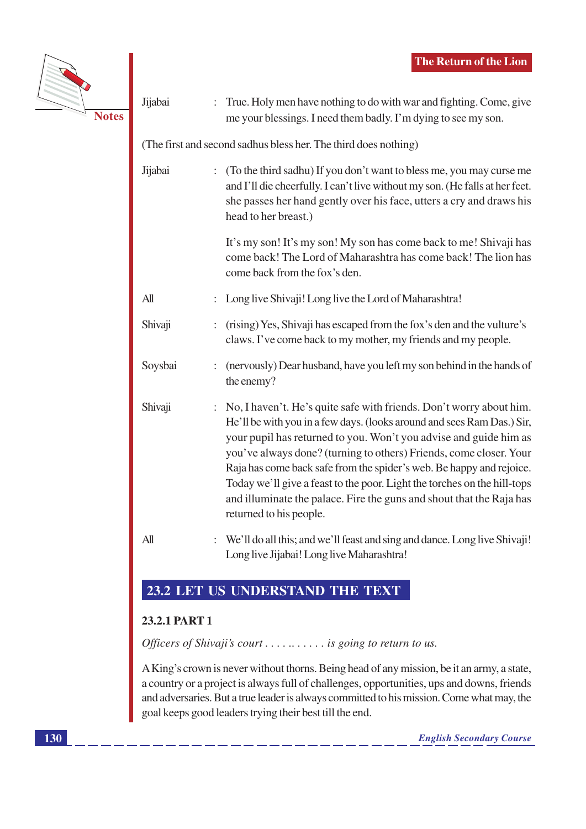

Jijabai : True. Holy men have nothing to do with war and fighting. Come, give me your blessings. I need them badly. I'm dying to see my son. (The first and second sadhus bless her. The third does nothing) Jiiabai : (To the third sadhu) If you don't want to bless me, you may curse me and I'll die cheerfully. I can't live without my son. (He falls at her feet. she passes her hand gently over his face, utters a cry and draws his head to her breast.) It's my son! It's my son! My son has come back to me! Shivaji has come back! The Lord of Maharashtra has come back! The lion has come back from the fox's den.  $\Delta$ ll : Long live Shivaji! Long live the Lord of Maharashtra! Shivaji : (rising) Yes, Shivaji has escaped from the fox's den and the vulture's claws. I've come back to my mother, my friends and my people. Soysbai : (nervously) Dear husband, have you left my son behind in the hands of the enemy? Shivaji : No, I haven't. He's quite safe with friends. Don't worry about him. He'll be with you in a few days. (looks around and sees Ram Das.) Sir, your pupil has returned to you. Won't you advise and guide him as you've always done? (turning to others) Friends, come closer. Your Raja has come back safe from the spider's web. Be happy and rejoice. Today we'll give a feast to the poor. Light the torches on the hill-tops and illuminate the palace. Fire the guns and shout that the Raja has returned to his people.  $All$ : We'll do all this; and we'll feast and sing and dance. Long live Shivaji! Long live Jijabai! Long live Maharashtra!

# 23.2 LET US UNDERSTAND THE TEXT

# 23.2.1 PART 1

Officers of Shivaji's court  $\dots \dots \dots$  is going to return to us.

A King's crown is never without thorns. Being head of any mission, be it an army, a state, a country or a project is always full of challenges, opportunities, ups and downs, friends and adversaries. But a true leader is always committed to his mission. Come what may, the goal keeps good leaders trying their best till the end.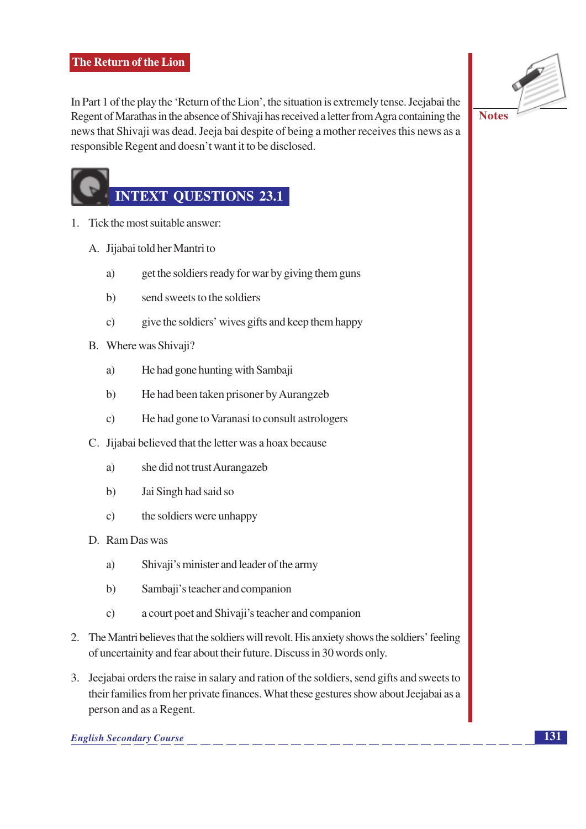

In Part 1 of the play the 'Return of the Lion', the situation is extremely tense. Jeejabai the Regent of Marathas in the absence of Shivaji has received a letter from Agra containing the news that Shivaji was dead. Jeeja bai despite of being a mother receives this news as a responsible Regent and doesn't want it to be disclosed.

# **INTEXT QUESTIONS 23.1**

- 1. Tick the most suitable answer:
	- A. Jijabai told her Mantri to
		- a) get the soldiers ready for war by giving them guns
		- send sweets to the soldiers  $b)$
		- give the soldiers' wives gifts and keep them happy  $\mathbf{c})$
	- B. Where was Shivaji?
		- He had gone hunting with Sambaji a)
		- $b)$ He had been taken prisoner by Aurangzeb
		- $\mathbf{c})$ He had gone to Varanasi to consult astrologers
	- C. Jijabai believed that the letter was a hoax because
		- a) she did not trust Aurangazeb
		- $h)$ Jai Singh had said so
		- the soldiers were unhappy  $\mathbf{c})$
	- D. Ram Das was
		- a) Shivaji's minister and leader of the army
		- $b)$ Sambaji's teacher and companion
		- $\mathbf{c})$ a court poet and Shivaji's teacher and companion
- 2. The Mantri believes that the soldiers will revolt. His anxiety shows the soldiers' feeling of uncertainity and fear about their future. Discuss in 30 words only.
- 3. Jeejabai orders the raise in salary and ration of the soldiers, send gifts and sweets to their families from her private finances. What these gestures show about Jeejabai as a person and as a Regent.

**English Secondary Course**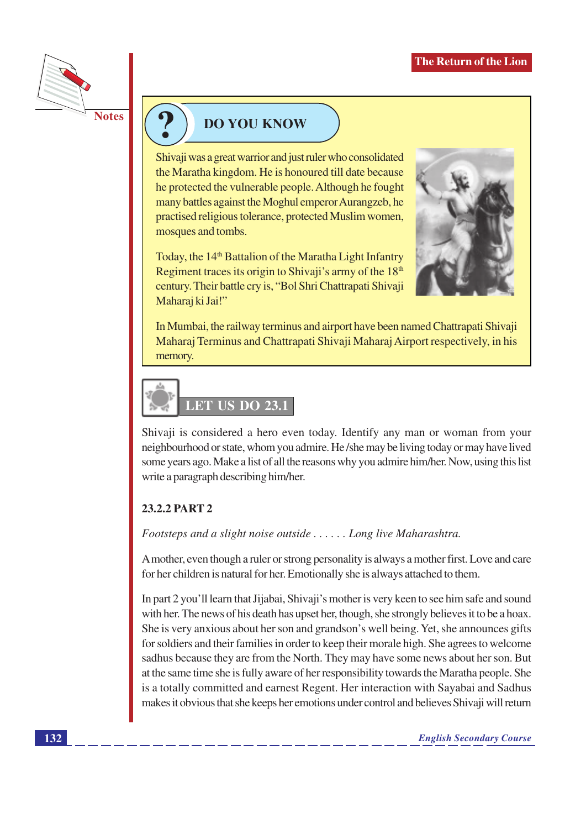

# **DO YOU KNOW**

Shivaji was a great warrior and just ruler who consolidated the Maratha kingdom. He is honoured till date because he protected the vulnerable people. Although he fought many battles against the Moghul emperor Aurangzeb, he practised religious tolerance, protected Muslim women, mosques and tombs.

Today, the 14<sup>th</sup> Battalion of the Maratha Light Infantry Regiment traces its origin to Shivaji's army of the 18<sup>th</sup> century. Their battle cry is, "Bol Shri Chattrapati Shivaji Maharaj ki Jai!"



In Mumbai, the railway terminus and airport have been named Chattrapati Shivaji Maharaj Terminus and Chattrapati Shivaji Maharaj Airport respectively, in his memory.



Shivaji is considered a hero even today. Identify any man or woman from your neighbourhood or state, whom you admire. He /she may be living today or may have lived some years ago. Make a list of all the reasons why you admire him/her. Now, using this list write a paragraph describing him/her.

# 23.2.2 PART 2

Footsteps and a slight noise outside  $\ldots$ . Long live Maharashtra.

A mother, even though a ruler or strong personality is always a mother first. Love and care for her children is natural for her. Emotionally she is always attached to them.

In part 2 you'll learn that Jijabai, Shivaji's mother is very keen to see him safe and sound with her. The news of his death has upset her, though, she strongly believes it to be a hoax. She is very anxious about her son and grandson's well being. Yet, she announces gifts for soldiers and their families in order to keep their morale high. She agrees to welcome sadhus because they are from the North. They may have some news about her son. But at the same time she is fully aware of her responsibility towards the Maratha people. She is a totally committed and earnest Regent. Her interaction with Sayabai and Sadhus makes it obvious that she keeps her emotions under control and believes Shivaji will return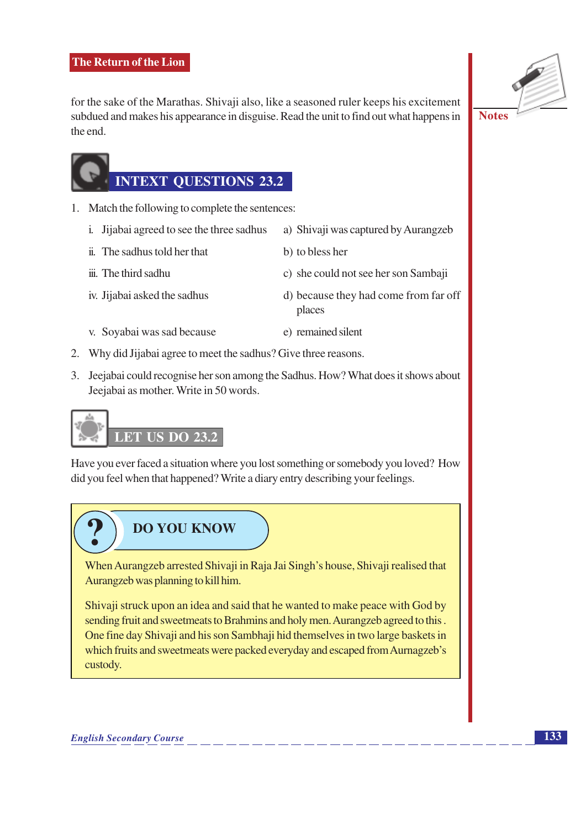for the sake of the Marathas. Shivaji also, like a seasoned ruler keeps his excitement subdued and makes his appearance in disguise. Read the unit to find out what happens in the end.



# **INTEXT QUESTIONS 23.2**

- 1. Match the following to complete the sentences:
	- i. Jijabai agreed to see the three sadhus a) Shivaji was captured by Aurangzeb
	- ii. The sadhus told her that
	- iii. The third sadhu
	- iv. Jijabai asked the sadhus
- b) to bless her
- c) she could not see her son Sambaji
- d) because they had come from far off places
- v. Soyabai was sad because e) remained silent
- 2. Why did Jijabai agree to meet the sadhus? Give three reasons.
- 3. Jeejabai could recognise her son among the Sadhus. How? What does it shows about Jeejabai as mother. Write in 50 words.

# **LET US DO 23.2**

Have you ever faced a situation where you lost something or somebody you loved? How did you feel when that happened? Write a diary entry describing your feelings.

# **DO YOU KNOW**

When Aurangzeb arrested Shivaji in Raja Jai Singh's house, Shivaji realised that Aurangzeb was planning to kill him.

Shivaji struck upon an idea and said that he wanted to make peace with God by sending fruit and sweetmeats to Brahmins and holy men. Aurangzeb agreed to this. One fine day Shivaji and his son Sambhaji hid themselves in two large baskets in which fruits and sweetmeats were packed everyday and escaped from Aurnagzeb's custody.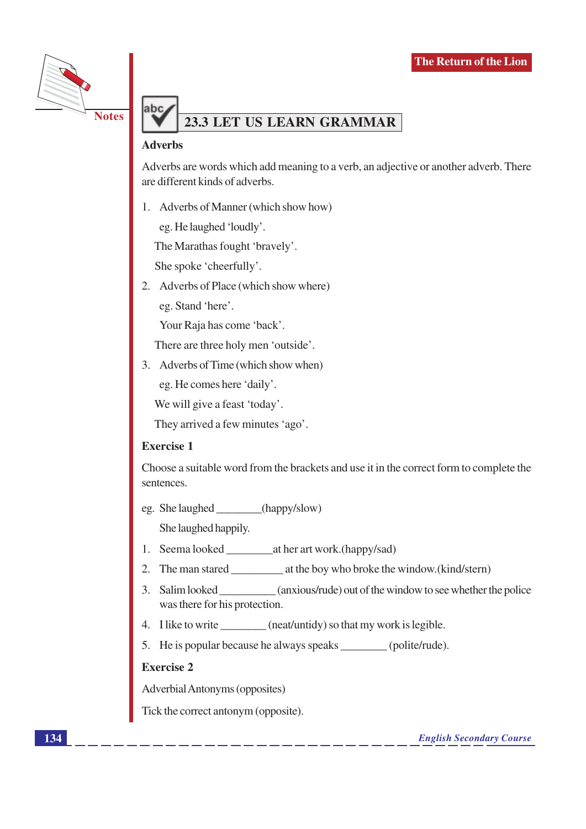

# 23.3 LET US LEARN GRAMMAR

#### **Adverbs**

ahc

Adverbs are words which add meaning to a verb, an adjective or another adverb. There are different kinds of adverbs.

1. Adverbs of Manner (which show how)

eg. He laughed 'loudly'.

The Marathas fought 'bravely'.

She spoke 'cheerfully'.

2. Adverbs of Place (which show where)

eg. Stand 'here'.

Your Raja has come 'back'.

There are three holy men 'outside'.

3. Adverbs of Time (which show when)

eg. He comes here 'daily'.

We will give a feast 'today'.

They arrived a few minutes 'ago'.

#### **Exercise 1**

Choose a suitable word from the brackets and use it in the correct form to complete the sentences.

eg. She laughed (happy/slow)

She laughed happily.

- 1. Seema looked \_\_\_\_\_\_\_\_\_\_\_\_\_\_\_at her art work.(happy/sad)
- 
- 3. Salim looked (anxious/rude) out of the window to see whether the police was there for his protection.
- 4. I like to write (neat/untidy) so that my work is legible.
- 5. He is popular because he always speaks (polite/rude).

#### **Exercise 2**

Adverbial Antonyms (opposites)

Tick the correct antonym (opposite).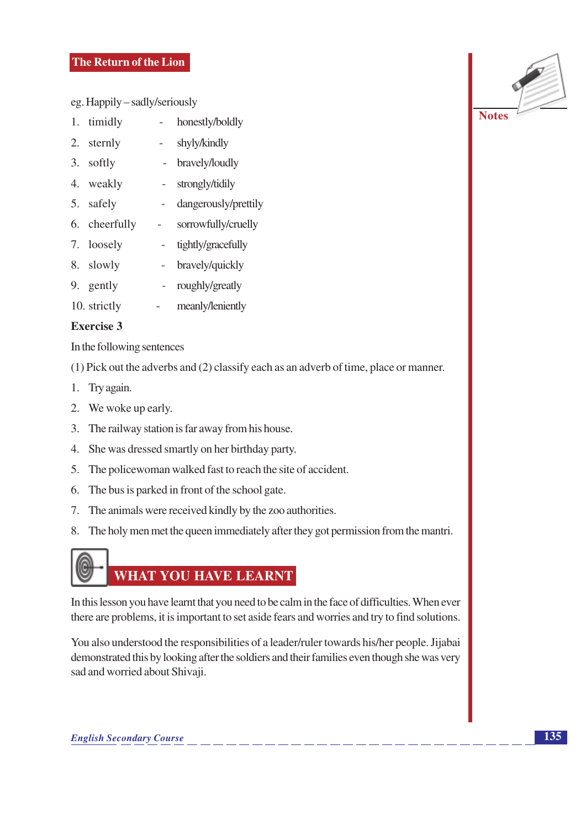## The Return of the Lion

eg. Happily – sadly/seriously

- 1. timidly honestly/boldly
- 2. sternly shyly/kindly
- 3. softly bravely/loudly
- 4. weakly - strongly/tidily
- 5. safely dangerously/prettily  $\mathbf{r}$
- 6. cheerfully sorrowfully/cruelly
- 7. loosely tightly/gracefully  $\sim$
- 8. slowly - bravely/quickly
- 9. gently roughly/greatly  $\sim$
- 10. strictly  $\overline{\phantom{a}}$ meanly/leniently

#### **Exercise 3**

In the following sentences

(1) Pick out the adverbs and (2) classify each as an adverb of time, place or manner.

- 1. Try again.
- 2. We woke up early.
- 3. The railway station is far away from his house.
- 4. She was dressed smartly on her birthday party.
- 5. The police woman walked fast to reach the site of accident.
- 6. The bus is parked in front of the school gate.
- 7. The animals were received kindly by the zoo authorities.
- 8. The holy men met the queen immediately after they got permission from the mantri.



In this lesson you have learnt that you need to be calm in the face of difficulties. When ever there are problems, it is important to set aside fears and worries and try to find solutions.

You also understood the responsibilities of a leader/ruler towards his/her people. Jijabai demonstrated this by looking after the soldiers and their families even though she was very sad and worried about Shivaji.

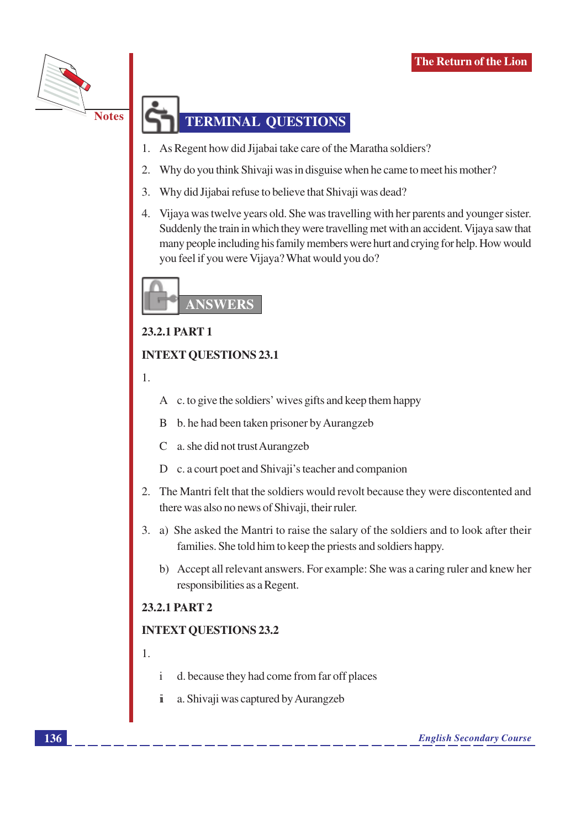

# **TERMINAL QUESTIONS**

- As Regent how did Jijabai take care of the Maratha soldiers?
- $\overline{2}$ Why do you think Shivaji was in disguise when he came to meet his mother?
- $\overline{3}$ . Why did Jijabai refuse to believe that Shivaji was dead?
- $\overline{4}$ . Vijaya was twelve years old. She was travelling with her parents and younger sister. Suddenly the train in which they were travelling met with an accident. Vijaya saw that many people including his family members were hurt and crying for help. How would you feel if you were Vijaya? What would you do?



## 23.2.1 PART 1

## **INTEXT QUESTIONS 23.1**

1.

A c. to give the soldiers' wives gifts and keep them happy

- b. he had been taken prisoner by Aurangzeb B
- $\mathcal{C}$ a. she did not trust Aurangzeb
- D c. a court poet and Shivaji's teacher and companion
- 2. The Mantri felt that the soldiers would revolt because they were discontented and there was also no news of Shivaji, their ruler.
- 3. a) She asked the Mantri to raise the salary of the soldiers and to look after their families. She told him to keep the priests and soldiers happy.
	- b) Accept all relevant answers. For example: She was a caring ruler and knew her responsibilities as a Regent.

## 23.2.1 PART 2

# **INTEXT OUESTIONS 23.2**

- $\mathbf{1}$
- d. because they had come from far off places  $\mathbf{i}$
- $\ddot{\mathbf{i}}$ a. Shivaji was captured by Aurangzeb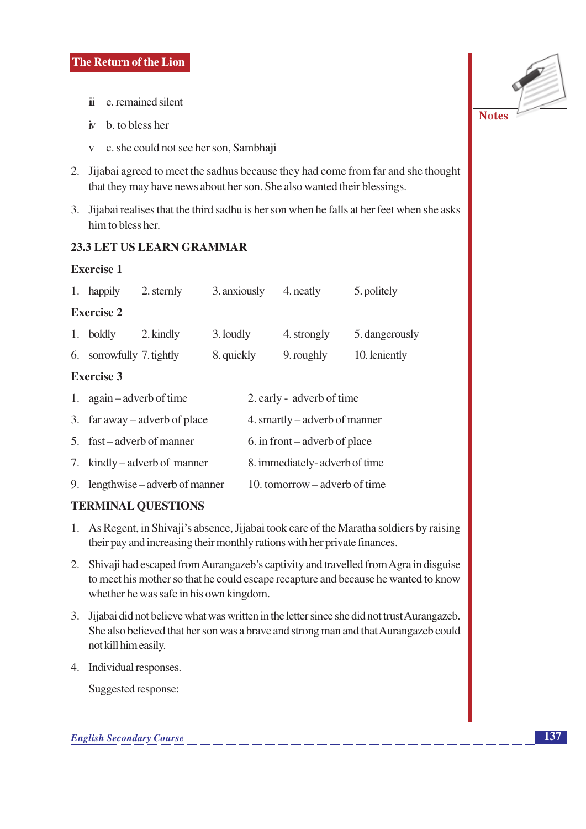- ii e. remained silent
- $\dot{v}$  b, to bless her
- v c. she could not see her son, Sambhaji
- 2. Jijabai agreed to meet the sadhus because they had come from far and she thought that they may have news about her son. She also wanted their blessings.
- 3. Jijabai realises that the third sadhu is her son when he falls at her feet when she asks him to bless her.

## 23.3 LET US LEARN GRAMMAR

#### **Exercise 1**

|    | 1. happily                                             | 2. sternly                    | 3. anxiously |                               | 4. neatly   | 5. politely    |  |  |  |  |
|----|--------------------------------------------------------|-------------------------------|--------------|-------------------------------|-------------|----------------|--|--|--|--|
|    | <b>Exercise 2</b>                                      |                               |              |                               |             |                |  |  |  |  |
|    | 1. boldly                                              | 2. kindly                     | 3. loudly    |                               | 4. strongly | 5. dangerously |  |  |  |  |
|    | 6. sorrowfully 7. tightly                              |                               | 8. quickly   |                               | 9. roughly  | 10. leniently  |  |  |  |  |
|    | <b>Exercise 3</b>                                      |                               |              |                               |             |                |  |  |  |  |
|    | 1. again – adverb of time<br>2. early - adverb of time |                               |              |                               |             |                |  |  |  |  |
|    |                                                        | 3. far away – adverb of place |              | 4. smartly – adverb of manner |             |                |  |  |  |  |
|    |                                                        | 5. fast – adverb of manner    |              | 6. in front – adverb of place |             |                |  |  |  |  |
|    |                                                        | 7. kindly – adverb of manner  |              | 8. immediately-adverb of time |             |                |  |  |  |  |
| 9. |                                                        | lengthwise – adverb of manner |              | 10. tomorrow – adverb of time |             |                |  |  |  |  |

# **TERMINAL QUESTIONS**

- 1. As Regent, in Shivaji's absence, Jijabai took care of the Maratha soldiers by raising their pay and increasing their monthly rations with her private finances.
- 2. Shivaji had escaped from Aurangazeb's captivity and travelled from Agra in disguise to meet his mother so that he could escape recapture and because he wanted to know whether he was safe in his own kingdom.
- 3. Jijabai did not believe what was written in the letter since she did not trust Aurangazeb. She also believed that her son was a brave and strong man and that Aurangazeb could not kill him easily.
- 4. Individual responses.

Suggested response: